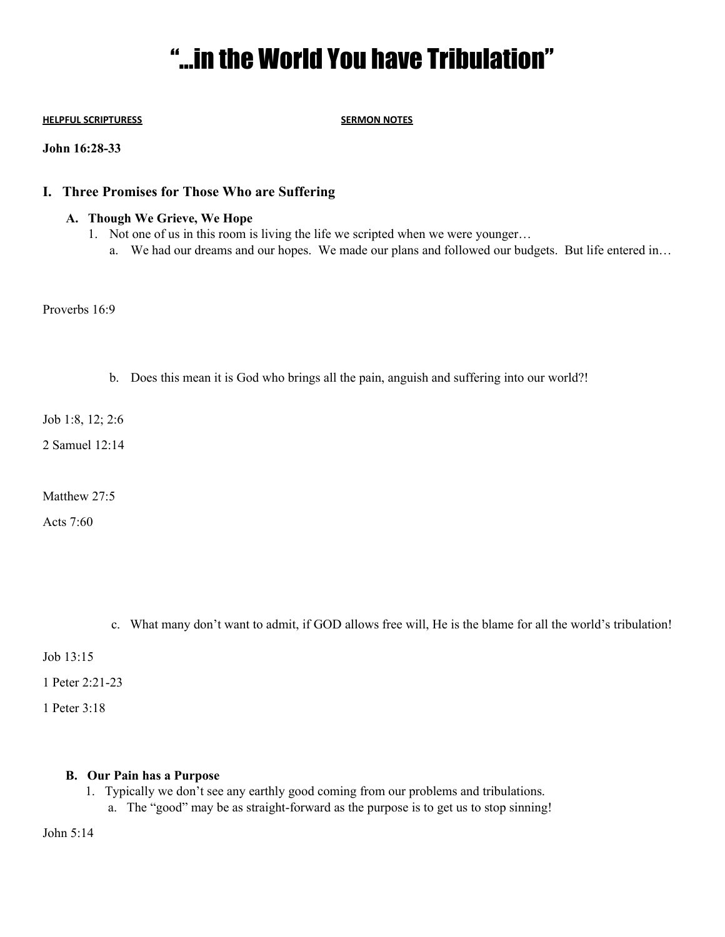# "…in the World You have Tribulation"

#### **HELPFUL SCRIPTURESS SERMON NOTES**

#### **John 16:28-33**

## **I. Three Promises for Those Who are Suffering**

#### **A. Though We Grieve, We Hope**

- 1. Not one of us in this room is living the life we scripted when we were younger…
	- a. We had our dreams and our hopes. We made our plans and followed our budgets. But life entered in…

Proverbs 16:9

b. Does this mean it is God who brings all the pain, anguish and suffering into our world?!

Job 1:8, 12; 2:6

2 Samuel 12:14

Matthew 27:5

Acts 7:60

c. What many don't want to admit, if GOD allows free will, He is the blame for all the world's tribulation!

Job 13:15

1 Peter 2:21-23

1 Peter 3:18

#### **B. Our Pain has a Purpose**

- 1. Typically we don't see any earthly good coming from our problems and tribulations.
	- a. The "good" may be as straight-forward as the purpose is to get us to stop sinning!

John 5:14